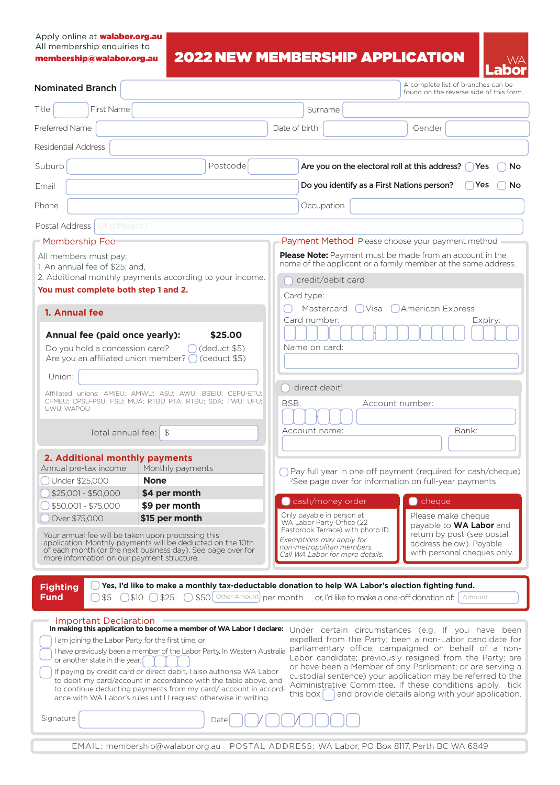## Apply online at **walabor.org.au** All membership enquiries to membership@walabor.org.au

# 2022 NEW MEMBERSHIP APPLICATION



| <b>Nominated Branch</b>                                                                                                                                                                                                                                                                                                                                                                                                                                                                                                                                                 | A complete list of branches can be<br>found on the reverse side of this form.                                                                                                                                                                                                                                                                                                                                                                                                              |  |
|-------------------------------------------------------------------------------------------------------------------------------------------------------------------------------------------------------------------------------------------------------------------------------------------------------------------------------------------------------------------------------------------------------------------------------------------------------------------------------------------------------------------------------------------------------------------------|--------------------------------------------------------------------------------------------------------------------------------------------------------------------------------------------------------------------------------------------------------------------------------------------------------------------------------------------------------------------------------------------------------------------------------------------------------------------------------------------|--|
| First Name<br>Title                                                                                                                                                                                                                                                                                                                                                                                                                                                                                                                                                     | Surname                                                                                                                                                                                                                                                                                                                                                                                                                                                                                    |  |
| Preferred Name                                                                                                                                                                                                                                                                                                                                                                                                                                                                                                                                                          | Date of birth<br>Gender                                                                                                                                                                                                                                                                                                                                                                                                                                                                    |  |
| Residential Address                                                                                                                                                                                                                                                                                                                                                                                                                                                                                                                                                     |                                                                                                                                                                                                                                                                                                                                                                                                                                                                                            |  |
| Suburb<br>Postcode                                                                                                                                                                                                                                                                                                                                                                                                                                                                                                                                                      | Are you on the electoral roll at this address? () Yes<br>No                                                                                                                                                                                                                                                                                                                                                                                                                                |  |
| Email                                                                                                                                                                                                                                                                                                                                                                                                                                                                                                                                                                   | Do you identify as a First Nations person?<br>Yes<br>No.                                                                                                                                                                                                                                                                                                                                                                                                                                   |  |
| Phone                                                                                                                                                                                                                                                                                                                                                                                                                                                                                                                                                                   | Occupation                                                                                                                                                                                                                                                                                                                                                                                                                                                                                 |  |
| Postal Address (if different)                                                                                                                                                                                                                                                                                                                                                                                                                                                                                                                                           |                                                                                                                                                                                                                                                                                                                                                                                                                                                                                            |  |
| ■ Membership Fee                                                                                                                                                                                                                                                                                                                                                                                                                                                                                                                                                        | Payment Method Please choose your payment method                                                                                                                                                                                                                                                                                                                                                                                                                                           |  |
| All members must pay;<br>1. An annual fee of \$25; and,<br>2. Additional monthly payments according to your income.<br>You must complete both step 1 and 2.                                                                                                                                                                                                                                                                                                                                                                                                             | <b>Please Note:</b> Payment must be made from an account in the<br>name of the applicant or a family member at the same address.<br>credit/debit card                                                                                                                                                                                                                                                                                                                                      |  |
|                                                                                                                                                                                                                                                                                                                                                                                                                                                                                                                                                                         | Card type:                                                                                                                                                                                                                                                                                                                                                                                                                                                                                 |  |
| 1. Annual fee<br>\$25.00<br>Annual fee (paid once yearly):<br>Do you hold a concession card?<br>$\bigcap$ (deduct \$5)<br>Are you an affiliated union member? $\bigcap$ (deduct \$5)                                                                                                                                                                                                                                                                                                                                                                                    | Mastercard<br>$\bigcup$ Visa $\bigcup$ American Express<br>Card number:<br>Expiry:<br>Name on card:<br>direct debit <sup>1</sup><br>Account number:<br>BSB:<br>Bank:<br>Account name:                                                                                                                                                                                                                                                                                                      |  |
| Union:<br>Affiliated unions: AMIEU; AMWU; ASU; AWU; BBEIU; CEPU-ETU;<br>CFMEU; CPSU-PSU; FSU; MUA; RTBU PTA; RTBU; SDA; TWU; UFU;<br>UWU; WAPOU<br>Total annual fee: $\frac{1}{3}$                                                                                                                                                                                                                                                                                                                                                                                      |                                                                                                                                                                                                                                                                                                                                                                                                                                                                                            |  |
|                                                                                                                                                                                                                                                                                                                                                                                                                                                                                                                                                                         |                                                                                                                                                                                                                                                                                                                                                                                                                                                                                            |  |
| 2. Additional monthly payments<br>Annual pre-tax income<br>Monthly payments<br>Under \$25,000<br><b>None</b><br>$$25,001 - $50,000$<br>\$4 per month<br>\$9 per month<br>$$50,001 - $75,000$<br>\$15 per month<br>Over \$75,000                                                                                                                                                                                                                                                                                                                                         | Pay full year in one off payment (required for cash/cheque)<br><sup>2</sup> See page over for information on full-year payments<br>$\bigcirc$ cheque<br>cash/money order<br>Only payable in person at<br>Please make cheque                                                                                                                                                                                                                                                                |  |
| Your annual fee will be taken upon processing this<br>application. Monthly payments will be deducted on the 10th<br>of each month (or the next business day). See page over for<br>more information on our payment structure.                                                                                                                                                                                                                                                                                                                                           | WA Labor Party Office (22<br>payable to WA Labor and<br>Eastbrook Terrace) with photo ID.<br>return by post (see postal<br>Exemptions may apply for<br>address below). Payable<br>non-metropolitan members.<br>with personal cheques only.<br>Call WA Labor for more details.                                                                                                                                                                                                              |  |
| <b>Fighting</b><br><b>Fund</b><br>\$50 Other Amount per month<br>\$5<br>$$10($ $$25$                                                                                                                                                                                                                                                                                                                                                                                                                                                                                    | Yes, I'd like to make a monthly tax-deductable donation to help WA Labor's election fighting fund.<br>or, I'd like to make a one-off donation of:   Amount                                                                                                                                                                                                                                                                                                                                 |  |
| Important Declaration<br>In making this application to become a member of WA Labor I declare:<br>I am joining the Labor Party for the first time, or<br>I have previously been a member of the Labor Party, In Western Australia<br>or another state in the year;<br>If paying by credit card or direct debit, I also authorise WA Labor<br>to debit my card/account in accordance with the table above, and<br>to continue deducting payments from my card/account in accord-<br>ance with WA Labor's rules until I request otherwise in writing.<br>Signature<br>Date | Under certain circumstances (e.g. If you have been<br>expelled from the Party; been a non-Labor candidate for<br>parliamentary office; campaigned on behalf of a non-<br>Labor candidate; previously resigned from the Party; are<br>or have been a Member of any Parliament; or are serving a<br>custodial sentence) your application may be referred to the<br>Administrative Committee. If these conditions apply, tick<br>and provide details along with your application.<br>this box |  |
|                                                                                                                                                                                                                                                                                                                                                                                                                                                                                                                                                                         |                                                                                                                                                                                                                                                                                                                                                                                                                                                                                            |  |
| EMAIL: membership@walabor.org.au                                                                                                                                                                                                                                                                                                                                                                                                                                                                                                                                        | POSTAL ADDRESS: WA Labor, PO Box 8117, Perth BC WA 6849                                                                                                                                                                                                                                                                                                                                                                                                                                    |  |